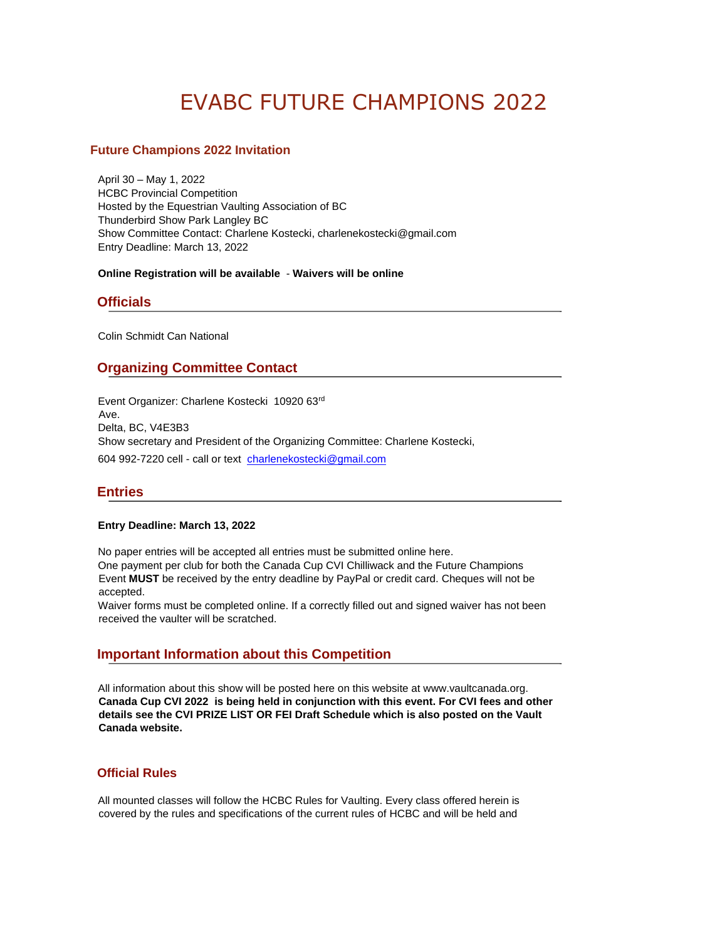# EVABC FUTURE CHAMPIONS 2022

# **Future Champions 2022 Invitation**

April 30 – May 1, 2022 HCBC Provincial Competition Hosted by the Equestrian Vaulting Association of BC Thunderbird Show Park Langley BC Show Committee Contact: Charlene Kostecki, charlenekostecki@gmail.com Entry Deadline: March 13, 2022

#### **Online Registration will be available** - **Waivers will be online**

#### **Officials**

Colin Schmidt Can National

# **Organizing Committee Contact**

Event Organizer: Charlene Kostecki 10920 63rd Ave. Delta, BC, V4E3B3 Show secretary and President of the Organizing Committee: Charlene Kostecki, 604 992-7220 cell - call or text charlenekostecki@gmail.com

# **Entries**

#### **Entry Deadline: March 13, 2022**

No paper entries will be accepted all entries must be submitted online here. One payment per club for both the Canada Cup CVI Chilliwack and the Future Champions Event **MUST** be received by the entry deadline by PayPal or credit card. Cheques will not be accepted.

Waiver forms must be completed online. If a correctly filled out and signed waiver has not been received the vaulter will be scratched.

# **Important Information about this Competition**

All information about this show will be posted here on this website at www.vaultcanada.org. **Canada Cup CVI 2022 is being held in conjunction with this event. For CVI fees and other details see the CVI PRIZE LIST OR FEI Draft Schedule which is also posted on the Vault Canada website.** 

# **Official Rules**

All mounted classes will follow the HCBC Rules for Vaulting. Every class offered herein is covered by the rules and specifications of the current rules of HCBC and will be held and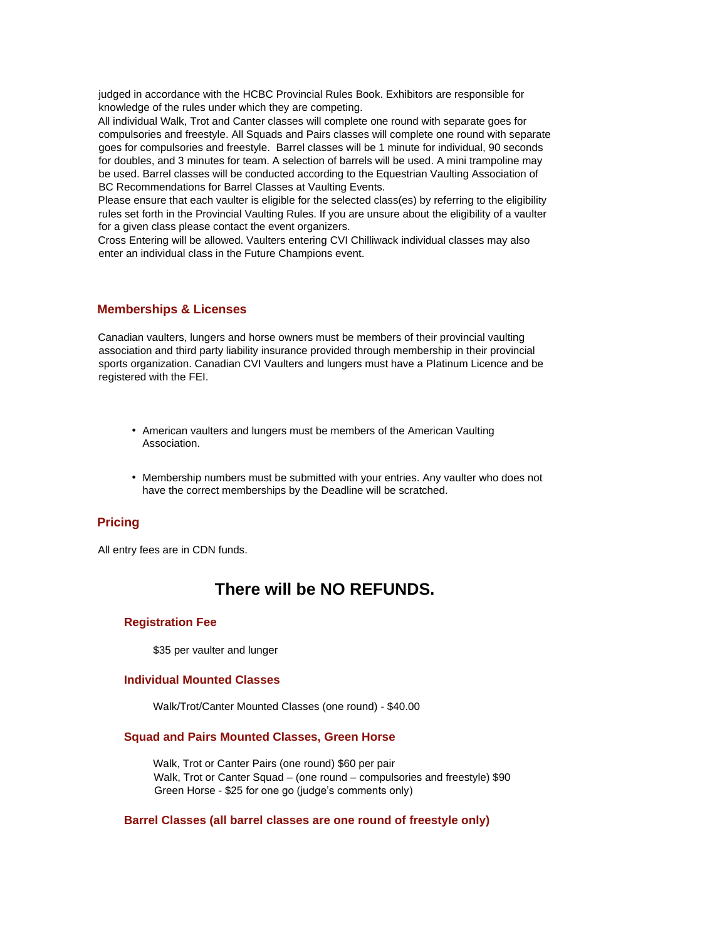judged in accordance with the HCBC Provincial Rules Book. Exhibitors are responsible for knowledge of the rules under which they are competing.

All individual Walk, Trot and Canter classes will complete one round with separate goes for compulsories and freestyle. All Squads and Pairs classes will complete one round with separate goes for compulsories and freestyle. Barrel classes will be 1 minute for individual, 90 seconds for doubles, and 3 minutes for team. A selection of barrels will be used. A mini trampoline may be used. Barrel classes will be conducted according to the Equestrian Vaulting Association of BC Recommendations for Barrel Classes at Vaulting Events.

Please ensure that each vaulter is eligible for the selected class(es) by referring to the eligibility rules set forth in the Provincial Vaulting Rules. If you are unsure about the eligibility of a vaulter for a given class please contact the event organizers.

Cross Entering will be allowed. Vaulters entering CVI Chilliwack individual classes may also enter an individual class in the Future Champions event.

#### **Memberships & Licenses**

Canadian vaulters, lungers and horse owners must be members of their provincial vaulting association and third party liability insurance provided through membership in their provincial sports organization. Canadian CVI Vaulters and lungers must have a Platinum Licence and be registered with the FEI.

- American vaulters and lungers must be members of the American Vaulting Association.
- Membership numbers must be submitted with your entries. Any vaulter who does not have the correct memberships by the Deadline will be scratched.

# **Pricing**

All entry fees are in CDN funds.

# **There will be NO REFUNDS.**

#### **Registration Fee**

\$35 per vaulter and lunger

#### **Individual Mounted Classes**

Walk/Trot/Canter Mounted Classes (one round) - \$40.00

#### **Squad and Pairs Mounted Classes, Green Horse**

Walk, Trot or Canter Pairs (one round) \$60 per pair Walk, Trot or Canter Squad – (one round – compulsories and freestyle) \$90 Green Horse - \$25 for one go (judge's comments only)

#### **Barrel Classes (all barrel classes are one round of freestyle only)**